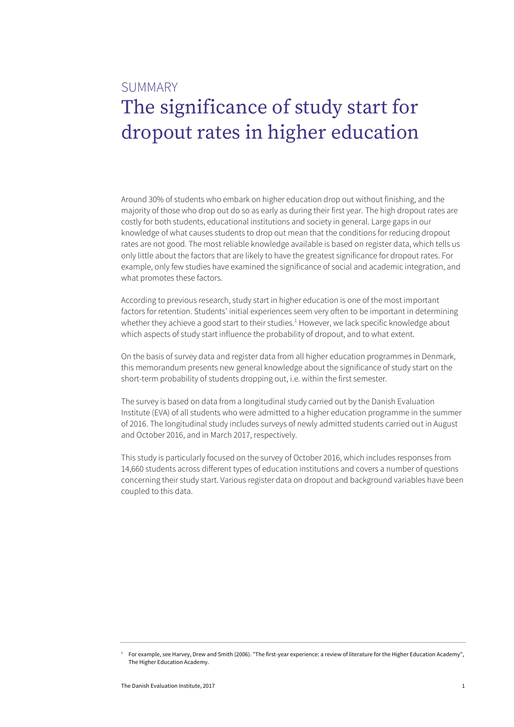# **SUMMARY** The significance of study start for dropout rates in higher education

Around 30% of students who embark on higher education drop out without finishing, and the majority of those who drop out do so as early as during their first year. The high dropout rates are costly for both students, educational institutions and society in general. Large gaps in our knowledge of what causes students to drop out mean that the conditions for reducing dropout rates are not good. The most reliable knowledge available is based on register data, which tells us only little about the factors that are likely to have the greatest significance for dropout rates. For example, only few studies have examined the significance of social and academic integration, and what promotes these factors.

According to previous research, study start in higher education is one of the most important factors for retention. Students' initial experiences seem very often to be important in determining whether they achieve a good start to their studies.<sup>1</sup> However, we lack specific knowledge about which aspects of study start influence the probability of dropout, and to what extent.

On the basis of survey data and register data from all higher education programmes in Denmark, this memorandum presents new general knowledge about the significance of study start on the short-term probability of students dropping out, i.e. within the first semester.

The survey is based on data from a longitudinal study carried out by the Danish Evaluation Institute (EVA) of all students who were admitted to a higher education programme in the summer of 2016. The longitudinal study includes surveys of newly admitted students carried out in August and October 2016, and in March 2017, respectively.

This study is particularly focused on the survey of October 2016, which includes responses from 14,660 students across different types of education institutions and covers a number of questions concerning their study start. Various register data on dropout and background variables have been coupled to this data.

For example, see Harvey, Drew and Smith (2006). "The first-year experience: a review of literature for the Higher Education Academy", The Higher Education Academy.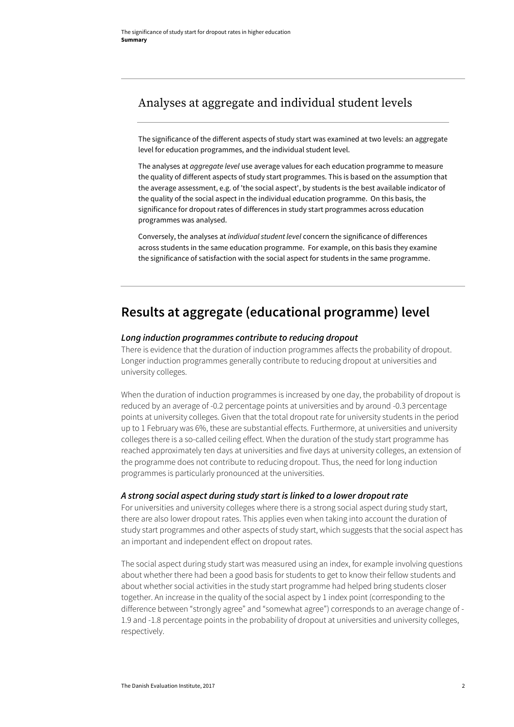### Analyses at aggregate and individual student levels

The significance of the different aspects of study start was examined at two levels: an aggregate level for education programmes, and the individual student level.

The analyses at *aggregate level* use average values for each education programme to measure the quality of different aspects of study start programmes. This is based on the assumption that the average assessment, e.g. of 'the social aspect', by students is the best available indicator of the quality of the social aspect in the individual education programme. On this basis, the significance for dropout rates of differences in study start programmes across education programmes was analysed.

Conversely, the analyses at *individual student level* concern the significance of differences across students in the same education programme. For example, on this basis they examine the significance of satisfaction with the social aspect for students in the same programme.

## **Results at aggregate (educational programme) level**

#### *Long induction programmes contribute to reducing dropout*

There is evidence that the duration of induction programmes affects the probability of dropout. Longer induction programmes generally contribute to reducing dropout at universities and university colleges.

When the duration of induction programmes is increased by one day, the probability of dropout is reduced by an average of -0.2 percentage points at universities and by around -0.3 percentage points at university colleges. Given that the total dropout rate for university students in the period up to 1 February was 6%, these are substantial effects. Furthermore, at universities and university colleges there is a so-called ceiling effect. When the duration of the study start programme has reached approximately ten days at universities and five days at university colleges, an extension of the programme does not contribute to reducing dropout. Thus, the need for long induction programmes is particularly pronounced at the universities.

### *A strong social aspect during study start is linked to a lower dropout rate*

For universities and university colleges where there is a strong social aspect during study start, there are also lower dropout rates. This applies even when taking into account the duration of study start programmes and other aspects of study start, which suggests that the social aspect has an important and independent effect on dropout rates.

The social aspect during study start was measured using an index, for example involving questions about whether there had been a good basis for students to get to know their fellow students and about whether social activities in the study start programme had helped bring students closer together. An increase in the quality of the social aspect by 1 index point (corresponding to the difference between "strongly agree" and "somewhat agree") corresponds to an average change of - 1.9 and -1.8 percentage points in the probability of dropout at universities and university colleges, respectively.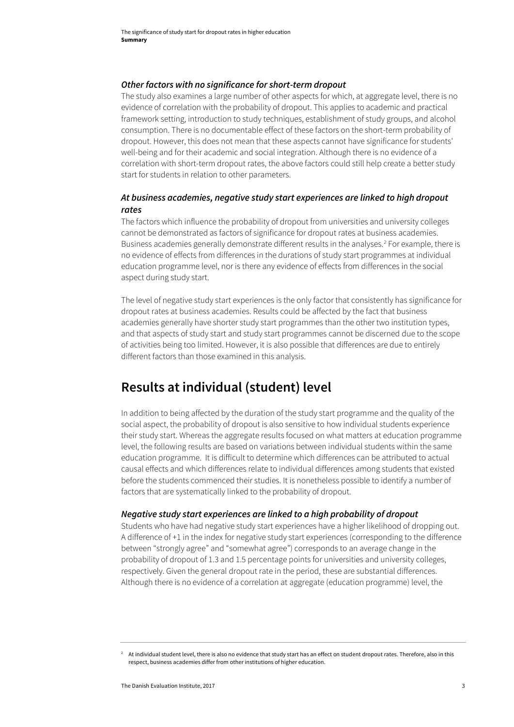#### *Other factors with no significance for short-term dropout*

The study also examines a large number of other aspects for which, at aggregate level, there is no evidence of correlation with the probability of dropout. This applies to academic and practical framework setting, introduction to study techniques, establishment of study groups, and alcohol consumption. There is no documentable effect of these factors on the short-term probability of dropout. However, this does not mean that these aspects cannot have significance for students' well-being and for their academic and social integration. Although there is no evidence of a correlation with short-term dropout rates, the above factors could still help create a better study start for students in relation to other parameters.

### *At business academies, negative study start experiences are linked to high dropout rates*

The factors which influence the probability of dropout from universities and university colleges cannot be demonstrated as factors of significance for dropout rates at business academies. Business academies generally demonstrate different results in the analyses.<sup>2</sup> For example, there is no evidence of effects from differences in the durations of study start programmes at individual education programme level, nor is there any evidence of effects from differences in the social aspect during study start.

The level of negative study start experiences is the only factor that consistently has significance for dropout rates at business academies. Results could be affected by the fact that business academies generally have shorter study start programmes than the other two institution types, and that aspects of study start and study start programmes cannot be discerned due to the scope of activities being too limited. However, it is also possible that differences are due to entirely different factors than those examined in this analysis.

## **Results at individual (student) level**

In addition to being affected by the duration of the study start programme and the quality of the social aspect, the probability of dropout is also sensitive to how individual students experience their study start. Whereas the aggregate results focused on what matters at education programme level, the following results are based on variations between individual students within the same education programme. It is difficult to determine which differences can be attributed to actual causal effects and which differences relate to individual differences among students that existed before the students commenced their studies. It is nonetheless possible to identify a number of factors that are systematically linked to the probability of dropout.

#### *Negative study start experiences are linked to a high probability of dropout*

Students who have had negative study start experiences have a higher likelihood of dropping out. A difference of +1 in the index for negative study start experiences (corresponding to the difference between "strongly agree" and "somewhat agree") corresponds to an average change in the probability of dropout of 1.3 and 1.5 percentage points for universities and university colleges, respectively. Given the general dropout rate in the period, these are substantial differences. Although there is no evidence of a correlation at aggregate (education programme) level, the

 $2$  At individual student level, there is also no evidence that study start has an effect on student dropout rates. Therefore, also in this respect, business academies differ from other institutions of higher education.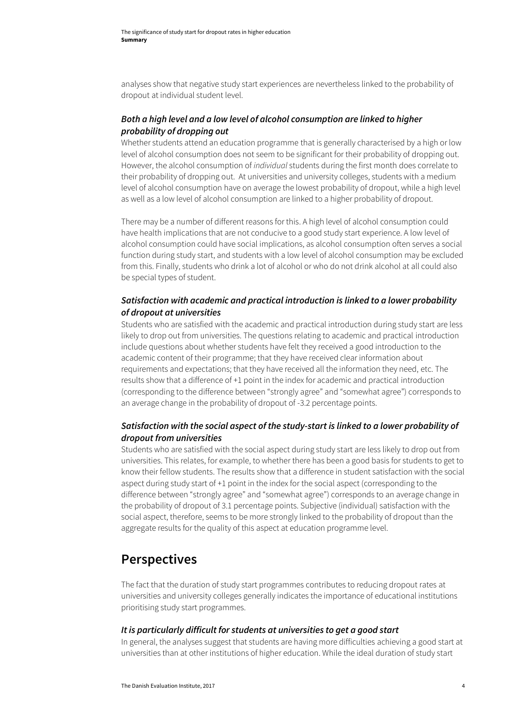analyses show that negative study start experiences are nevertheless linked to the probability of dropout at individual student level.

### *Both a high level and a low level of alcohol consumption are linked to higher probability of dropping out*

Whether students attend an education programme that is generally characterised by a high or low level of alcohol consumption does not seem to be significant for their probability of dropping out. However, the alcohol consumption of *individual* students during the first month does correlate to their probability of dropping out. At universities and university colleges, students with a medium level of alcohol consumption have on average the lowest probability of dropout, while a high level as well as a low level of alcohol consumption are linked to a higher probability of dropout.

There may be a number of different reasons for this. A high level of alcohol consumption could have health implications that are not conducive to a good study start experience. A low level of alcohol consumption could have social implications, as alcohol consumption often serves a social function during study start, and students with a low level of alcohol consumption may be excluded from this. Finally, students who drink a lot of alcohol or who do not drink alcohol at all could also be special types of student.

### *Satisfaction with academic and practical introduction is linked to a lower probability of dropout at universities*

Students who are satisfied with the academic and practical introduction during study start are less likely to drop out from universities. The questions relating to academic and practical introduction include questions about whether students have felt they received a good introduction to the academic content of their programme; that they have received clear information about requirements and expectations; that they have received all the information they need, etc. The results show that a difference of +1 point in the index for academic and practical introduction (corresponding to the difference between "strongly agree" and "somewhat agree") corresponds to an average change in the probability of dropout of -3.2 percentage points.

### *Satisfaction with the social aspect of the study-start is linked to a lower probability of dropout from universities*

Students who are satisfied with the social aspect during study start are less likely to drop out from universities. This relates, for example, to whether there has been a good basis for students to get to know their fellow students. The results show that a difference in student satisfaction with the social aspect during study start of +1 point in the index for the social aspect (corresponding to the difference between "strongly agree" and "somewhat agree") corresponds to an average change in the probability of dropout of 3.1 percentage points. Subjective (individual) satisfaction with the social aspect, therefore, seems to be more strongly linked to the probability of dropout than the aggregate results for the quality of this aspect at education programme level.

### **Perspectives**

The fact that the duration of study start programmes contributes to reducing dropout rates at universities and university colleges generally indicates the importance of educational institutions prioritising study start programmes.

#### *It is particularly difficult for students at universities to get a good start*

In general, the analyses suggest that students are having more difficulties achieving a good start at universities than at other institutions of higher education. While the ideal duration of study start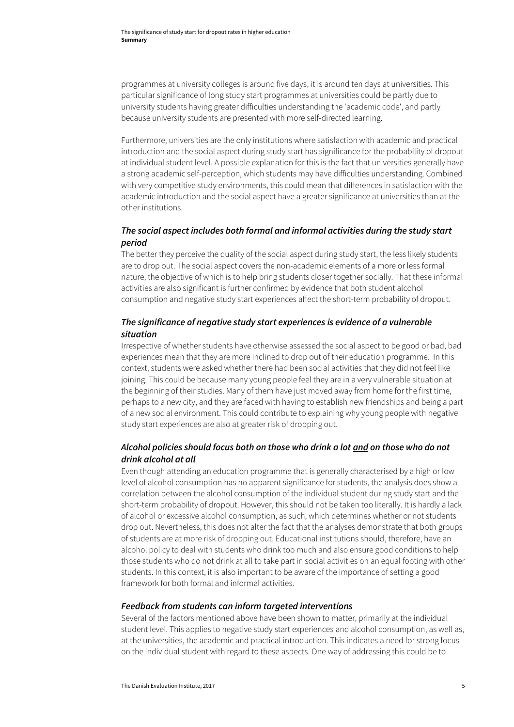programmes at university colleges is around five days, it is around ten days at universities. This particular significance of long study start programmes at universities could be partly due to university students having greater difficulties understanding the 'academic code', and partly because university students are presented with more self-directed learning.

Furthermore, universities are the only institutions where satisfaction with academic and practical introduction and the social aspect during study start has significance for the probability of dropout at individual student level. A possible explanation for this is the fact that universities generally have a strong academic self-perception, which students may have difficulties understanding. Combined with very competitive study environments, this could mean that differences in satisfaction with the academic introduction and the social aspect have a greater significance at universities than at the other institutions.

### *The social aspect includes both formal and informal activities during the study start period*

The better they perceive the quality of the social aspect during study start, the less likely students are to drop out. The social aspect covers the non-academic elements of a more or less formal nature, the objective of which is to help bring students closer together socially. That these informal activities are also significant is further confirmed by evidence that both student alcohol consumption and negative study start experiences affect the short-term probability of dropout.

### *The significance of negative study start experiences is evidence of a vulnerable situation*

Irrespective of whether students have otherwise assessed the social aspect to be good or bad, bad experiences mean that they are more inclined to drop out of their education programme. In this context, students were asked whether there had been social activities that they did not feel like joining. This could be because many young people feel they are in a very vulnerable situation at the beginning of their studies. Many of them have just moved away from home for the first time, perhaps to a new city, and they are faced with having to establish new friendships and being a part of a new social environment. This could contribute to explaining why young people with negative study start experiences are also at greater risk of dropping out.

### *Alcohol policies should focus both on those who drink a lot and on those who do not drink alcohol at all*

Even though attending an education programme that is generally characterised by a high or low level of alcohol consumption has no apparent significance for students, the analysis does show a correlation between the alcohol consumption of the individual student during study start and the short-term probability of dropout. However, this should not be taken too literally. It is hardly a lack of alcohol or excessive alcohol consumption, as such, which determines whether or not students drop out. Nevertheless, this does not alter the fact that the analyses demonstrate that both groups of students are at more risk of dropping out. Educational institutions should, therefore, have an alcohol policy to deal with students who drink too much and also ensure good conditions to help those students who do not drink at all to take part in social activities on an equal footing with other students. In this context, it is also important to be aware of the importance of setting a good framework for both formal and informal activities.

### *Feedback from students can inform targeted interventions*

Several of the factors mentioned above have been shown to matter, primarily at the individual student level. This applies to negative study start experiences and alcohol consumption, as well as, at the universities, the academic and practical introduction. This indicates a need for strong focus on the individual student with regard to these aspects. One way of addressing this could be to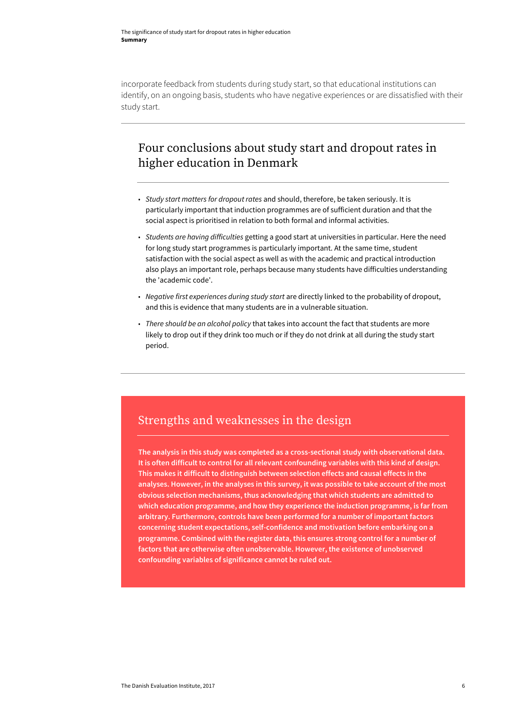incorporate feedback from students during study start, so that educational institutions can identify, on an ongoing basis, students who have negative experiences or are dissatisfied with their study start.

### Four conclusions about study start and dropout rates in higher education in Denmark

- *Study start matters for dropout rates* and should, therefore, be taken seriously. It is particularly important that induction programmes are of sufficient duration and that the social aspect is prioritised in relation to both formal and informal activities.
- *Students are having difficulties* getting a good start at universities in particular. Here the need for long study start programmes is particularly important. At the same time, student satisfaction with the social aspect as well as with the academic and practical introduction also plays an important role, perhaps because many students have difficulties understanding the 'academic code'.
- *Negative first experiences during study start* are directly linked to the probability of dropout, and this is evidence that many students are in a vulnerable situation.
- *There should be an alcohol policy* that takes into account the fact that students are more likely to drop out if they drink too much or if they do not drink at all during the study start period.

### Strengths and weaknesses in the design

**The analysis in this study was completed as a cross-sectional study with observational data. It is often difficult to control for all relevant confounding variables with this kind of design. This makes it difficult to distinguish between selection effects and causal effects in the analyses. However, in the analyses in this survey, it was possible to take account of the most obvious selection mechanisms, thus acknowledging that which students are admitted to which education programme, and how they experience the induction programme, is far from arbitrary. Furthermore, controls have been performed for a number of important factors concerning student expectations, self-confidence and motivation before embarking on a programme. Combined with the register data, this ensures strong control for a number of factors that are otherwise often unobservable. However, the existence of unobserved confounding variables of significance cannot be ruled out.**